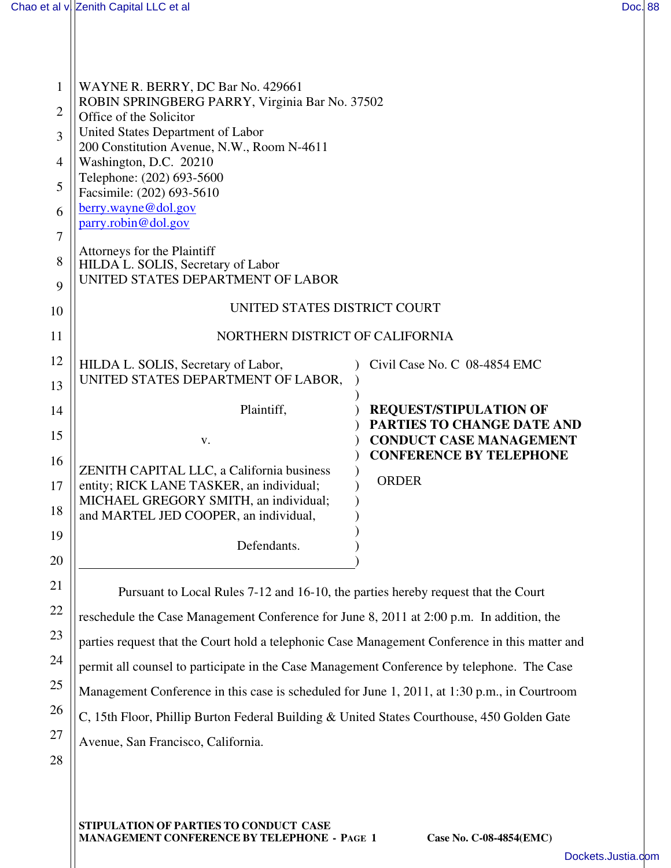| 1              | WAYNE R. BERRY, DC Bar No. 429661                                                     |                                                                  |  |  |
|----------------|---------------------------------------------------------------------------------------|------------------------------------------------------------------|--|--|
|                | ROBIN SPRINGBERG PARRY, Virginia Bar No. 37502                                        |                                                                  |  |  |
| $\overline{2}$ | Office of the Solicitor                                                               |                                                                  |  |  |
| 3              | United States Department of Labor                                                     |                                                                  |  |  |
|                | 200 Constitution Avenue, N.W., Room N-4611                                            |                                                                  |  |  |
| 4              | Washington, D.C. 20210<br>Telephone: (202) 693-5600                                   |                                                                  |  |  |
| 5              | Facsimile: (202) 693-5610                                                             |                                                                  |  |  |
| 6              | $berry$ .wayne@dol.gov                                                                |                                                                  |  |  |
|                | parry.robin@dol.gov                                                                   |                                                                  |  |  |
| 7              |                                                                                       |                                                                  |  |  |
| 8              | Attorneys for the Plaintiff                                                           |                                                                  |  |  |
|                | HILDA L. SOLIS, Secretary of Labor<br>UNITED STATES DEPARTMENT OF LABOR               |                                                                  |  |  |
| 9              |                                                                                       |                                                                  |  |  |
| 10             | UNITED STATES DISTRICT COURT                                                          |                                                                  |  |  |
| 11             | NORTHERN DISTRICT OF CALIFORNIA                                                       |                                                                  |  |  |
| 12             | HILDA L. SOLIS, Secretary of Labor,                                                   | Civil Case No. C 08-4854 EMC                                     |  |  |
| 13             | UNITED STATES DEPARTMENT OF LABOR,                                                    |                                                                  |  |  |
|                |                                                                                       |                                                                  |  |  |
| 14             | Plaintiff,                                                                            | <b>REQUEST/STIPULATION OF</b>                                    |  |  |
| 15             |                                                                                       | PARTIES TO CHANGE DATE AND                                       |  |  |
|                | V.                                                                                    | <b>CONDUCT CASE MANAGEMENT</b><br><b>CONFERENCE BY TELEPHONE</b> |  |  |
| 16             | ZENITH CAPITAL LLC, a California business                                             |                                                                  |  |  |
| 17             | entity; RICK LANE TASKER, an individual;                                              | <b>ORDER</b>                                                     |  |  |
|                | MICHAEL GREGORY SMITH, an individual;                                                 |                                                                  |  |  |
| 18             | and MARTEL JED COOPER, an individual,                                                 |                                                                  |  |  |
| 19             |                                                                                       |                                                                  |  |  |
|                | Defendants.                                                                           |                                                                  |  |  |
| 20             |                                                                                       |                                                                  |  |  |
| 21             | Durated to Local Dulce $7,12$ and $16,10$ , the pertial benchy request that the Court |                                                                  |  |  |

Pursuant to Local Rules 7-12 and 16-10, the parties hereby request that the Court reschedule the Case Management Conference for June 8, 2011 at 2:00 p.m. In addition, the parties request that the Court hold a telephonic Case Management Conference in this matter and permit all counsel to participate in the Case Management Conference by telephone. The Case Management Conference in this case is scheduled for June 1, 2011, at 1:30 p.m., in Courtroom C, 15th Floor, Phillip Burton Federal Building & United States Courthouse, 450 Golden Gate Avenue, San Francisco, California.

28

27

22

23

24

25

26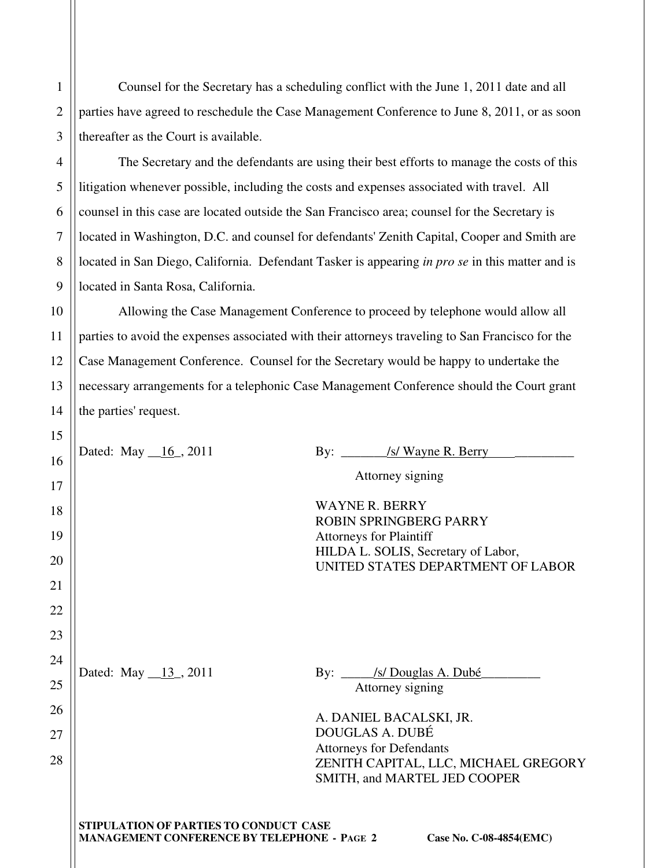Counsel for the Secretary has a scheduling conflict with the June 1, 2011 date and all parties have agreed to reschedule the Case Management Conference to June 8, 2011, or as soon thereafter as the Court is available.

1

2

3

4

5

6

7

8

9

The Secretary and the defendants are using their best efforts to manage the costs of this litigation whenever possible, including the costs and expenses associated with travel. All counsel in this case are located outside the San Francisco area; counsel for the Secretary is located in Washington, D.C. and counsel for defendants' Zenith Capital, Cooper and Smith are located in San Diego, California. Defendant Tasker is appearing *in pro se* in this matter and is located in Santa Rosa, California.

10 11 12 13 14 Allowing the Case Management Conference to proceed by telephone would allow all parties to avoid the expenses associated with their attorneys traveling to San Francisco for the Case Management Conference. Counsel for the Secretary would be happy to undertake the necessary arrangements for a telephonic Case Management Conference should the Court grant the parties' request.

| 15 |                                                    |                                                                          |  |
|----|----------------------------------------------------|--------------------------------------------------------------------------|--|
| 16 | Dated: May $_16$ , 2011                            | By: <u>/s/Wayne R. Berry</u>                                             |  |
| 17 |                                                    | Attorney signing                                                         |  |
|    |                                                    | <b>WAYNE R. BERRY</b>                                                    |  |
| 18 |                                                    | <b>ROBIN SPRINGBERG PARRY</b>                                            |  |
| 19 |                                                    | <b>Attorneys for Plaintiff</b>                                           |  |
| 20 |                                                    | HILDA L. SOLIS, Secretary of Labor,<br>UNITED STATES DEPARTMENT OF LABOR |  |
| 21 |                                                    |                                                                          |  |
| 22 |                                                    |                                                                          |  |
| 23 |                                                    |                                                                          |  |
| 24 |                                                    |                                                                          |  |
| 25 | Dated: May 13, 2011                                | By: /s/ Douglas A. Dubé<br>Attorney signing                              |  |
| 26 |                                                    | A. DANIEL BACALSKI, JR.                                                  |  |
| 27 |                                                    | DOUGLAS A. DUBÉ                                                          |  |
| 28 |                                                    | <b>Attorneys for Defendants</b><br>ZENITH CAPITAL, LLC, MICHAEL GREGORY  |  |
|    |                                                    | SMITH, and MARTEL JED COOPER                                             |  |
|    |                                                    |                                                                          |  |
|    | STIPULATION OF PARTIES TO CONDUCT CASE             |                                                                          |  |
|    | <b>MANAGEMENT CONFERENCE BY TELEPHONE - PAGE 2</b> | Case No. C-08-4854(EMC)                                                  |  |
|    |                                                    |                                                                          |  |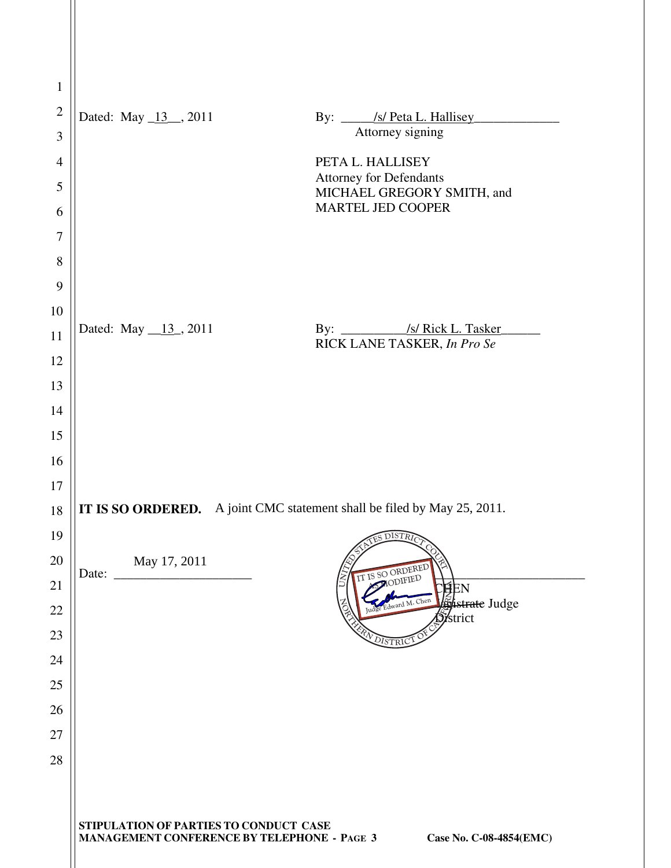| $\mathbf{1}$   |                                                                                                                         |                                                              |
|----------------|-------------------------------------------------------------------------------------------------------------------------|--------------------------------------------------------------|
| $\sqrt{2}$     | Dated: May 13, 2011                                                                                                     | By: /s/ Peta L. Hallisey                                     |
| 3              |                                                                                                                         | Attorney signing                                             |
| $\overline{4}$ |                                                                                                                         | PETA L. HALLISEY                                             |
| 5              |                                                                                                                         | <b>Attorney for Defendants</b><br>MICHAEL GREGORY SMITH, and |
| 6              |                                                                                                                         | <b>MARTEL JED COOPER</b>                                     |
| 7              |                                                                                                                         |                                                              |
| 8              |                                                                                                                         |                                                              |
| 9              |                                                                                                                         |                                                              |
| 10             |                                                                                                                         |                                                              |
| 11             | Dated: May $_{13}$ , 2011                                                                                               | RICK LANE TASKER, In Pro Se                                  |
| 12             |                                                                                                                         |                                                              |
| 13             |                                                                                                                         |                                                              |
| 14             |                                                                                                                         |                                                              |
| 15             |                                                                                                                         |                                                              |
| 16             |                                                                                                                         |                                                              |
| 17             |                                                                                                                         |                                                              |
| 18             | IT IS SO ORDERED. A joint CMC statement shall be filed by May 25, 2011.                                                 |                                                              |
| 19             |                                                                                                                         | <b>DISTRIC</b><br>今                                          |
| 20             | May 17, 2011<br>Date:                                                                                                   | IT IS SO ORDERED                                             |
| 21             |                                                                                                                         | MODIFIED<br>ĘEN<br>dward M. Chen                             |
| 22             |                                                                                                                         | <b>Spistrate</b> Judge<br><b>S</b> istrict                   |
| 23             |                                                                                                                         | VDISTRI                                                      |
| 24             |                                                                                                                         |                                                              |
| 25             |                                                                                                                         |                                                              |
| 26             |                                                                                                                         |                                                              |
| 27             |                                                                                                                         |                                                              |
| 28             |                                                                                                                         |                                                              |
|                |                                                                                                                         |                                                              |
|                | STIPULATION OF PARTIES TO CONDUCT CASE<br><b>MANAGEMENT CONFERENCE BY TELEPHONE - PAGE 3</b><br>Case No. C-08-4854(EMC) |                                                              |

II